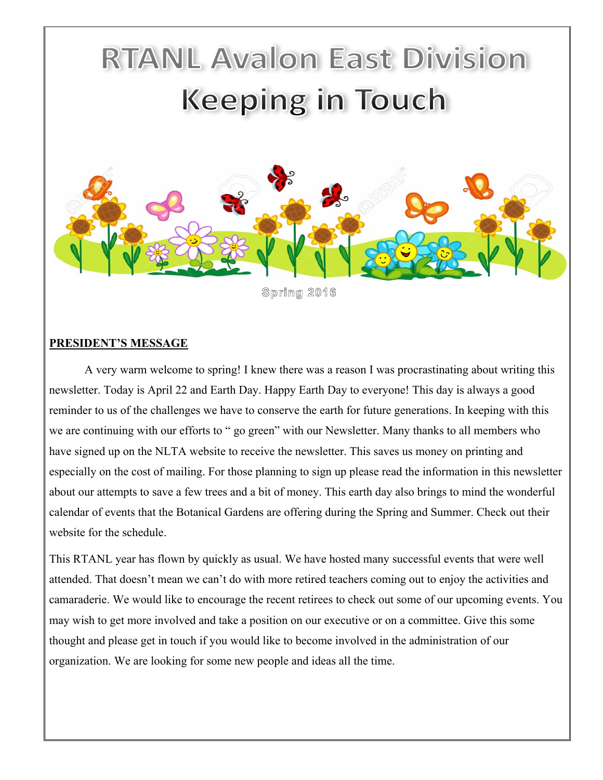# **RTANL Avalon East Division Keeping in Touch**



#### **PRESIDENT'S MESSAGE**

A very warm welcome to spring! I knew there was a reason I was procrastinating about writing this newsletter. Today is April 22 and Earth Day. Happy Earth Day to everyone! This day is always a good reminder to us of the challenges we have to conserve the earth for future generations. In keeping with this we are continuing with our efforts to " go green" with our Newsletter. Many thanks to all members who have signed up on the NLTA website to receive the newsletter. This saves us money on printing and especially on the cost of mailing. For those planning to sign up please read the information in this newsletter about our attempts to save a few trees and a bit of money. This earth day also brings to mind the wonderful calendar of events that the Botanical Gardens are offering during the Spring and Summer. Check out their website for the schedule.

This RTANL year has flown by quickly as usual. We have hosted many successful events that were well attended. That doesn't mean we can't do with more retired teachers coming out to enjoy the activities and camaraderie. We would like to encourage the recent retirees to check out some of our upcoming events. You may wish to get more involved and take a position on our executive or on a committee. Give this some thought and please get in touch if you would like to become involved in the administration of our organization. We are looking for some new people and ideas all the time.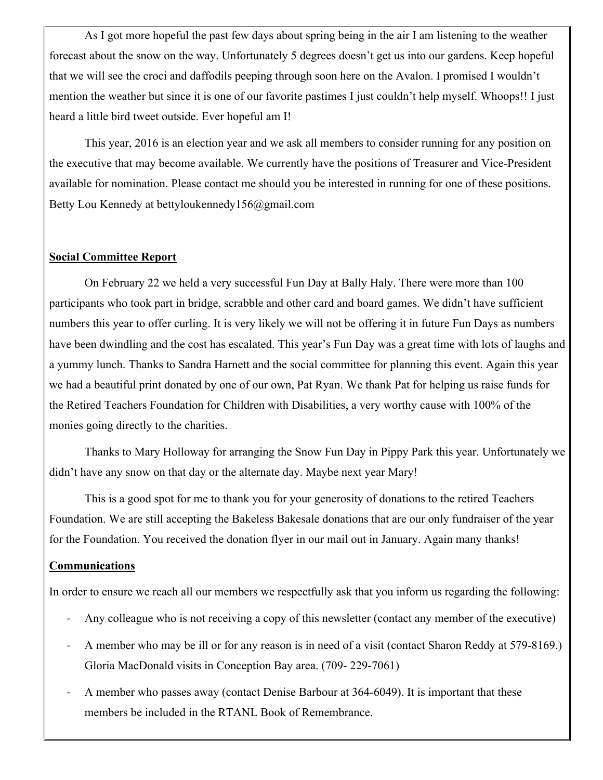As I got more hopeful the past few days about spring being in the air I am listening to the weather forecast about the snow on the way. Unfortunately 5 degrees doesn't get us into our gardens. Keep hopeful that we will see the croci and daffodils peeping through soon here on the Avalon. I promised I wouldn't mention the weather but since it is one of our favorite pastimes I just couldn't help myself. Whoops!! I just heard a little bird tweet outside. Ever hopeful am I!

This year, 2016 is an election year and we ask all members to consider running for any position on the executive that may become available. We currently have the positions of Treasurer and Vice-President available for nomination. Please contact me should you be interested in running for one of these positions. Betty Lou Kennedy at bettyloukennedy156@gmail.com

## **Social Committee Report**

On February 22 we held a very successful Fun Day at Bally Haly. There were more than 100 participants who took part in bridge, scrabble and other card and board games. We didn't have sufficient numbers this year to offer curling. It is very likely we will not be offering it in future Fun Days as numbers have been dwindling and the cost has escalated. This year's Fun Day was a great time with lots of laughs and a yummy lunch. Thanks to Sandra Harnett and the social committee for planning this event. Again this year we had a beautiful print donated by one of our own, Pat Ryan. We thank Pat for helping us raise funds for the Retired Teachers Foundation for Children with Disabilities, a very worthy cause with 100% of the monies going directly to the charities.

Thanks to Mary Holloway for arranging the Snow Fun Day in Pippy Park this year. Unfortunately we didn't have any snow on that day or the alternate day. Maybe next year Mary!

This is a good spot for me to thank you for your generosity of donations to the retired Teachers Foundation. We are still accepting the Bakeless Bakesale donations that are our only fundraiser of the year for the Foundation. You received the donation flyer in our mail out in January. Again many thanks!

## **Communications**

In order to ensure we reach all our members we respectfully ask that you inform us regarding the following:

- Any colleague who is not receiving a copy of this newsletter (contact any member of the executive)
- A member who may be ill or for any reason is in need of a visit (contact Sharon Reddy at 579-8169.) Gloria MacDonald visits in Conception Bay area. (709- 229-7061)
- A member who passes away (contact Denise Barbour at 364-6049). It is important that these members be included in the RTANL Book of Remembrance.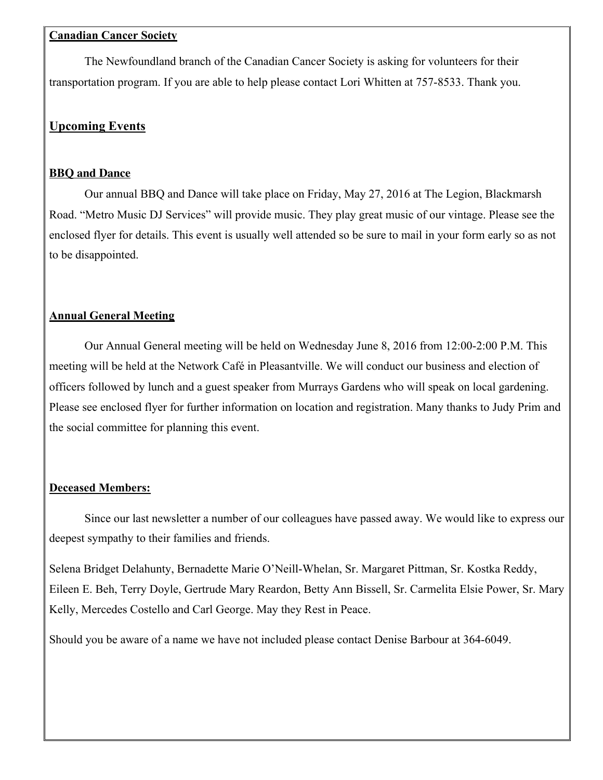#### **Canadian Cancer Society**

The Newfoundland branch of the Canadian Cancer Society is asking for volunteers for their transportation program. If you are able to help please contact Lori Whitten at 757-8533. Thank you.

# **Upcoming Events**

## **BBQ and Dance**

Our annual BBQ and Dance will take place on Friday, May 27, 2016 at The Legion, Blackmarsh Road. "Metro Music DJ Services" will provide music. They play great music of our vintage. Please see the enclosed flyer for details. This event is usually well attended so be sure to mail in your form early so as not to be disappointed.

# **Annual General Meeting**

Our Annual General meeting will be held on Wednesday June 8, 2016 from 12:00-2:00 P.M. This meeting will be held at the Network Café in Pleasantville. We will conduct our business and election of officers followed by lunch and a guest speaker from Murrays Gardens who will speak on local gardening. Please see enclosed flyer for further information on location and registration. Many thanks to Judy Prim and the social committee for planning this event.

# **Deceased Members:**

Since our last newsletter a number of our colleagues have passed away. We would like to express our deepest sympathy to their families and friends.

Selena Bridget Delahunty, Bernadette Marie O'Neill-Whelan, Sr. Margaret Pittman, Sr. Kostka Reddy, Eileen E. Beh, Terry Doyle, Gertrude Mary Reardon, Betty Ann Bissell, Sr. Carmelita Elsie Power, Sr. Mary Kelly, Mercedes Costello and Carl George. May they Rest in Peace.

Should you be aware of a name we have not included please contact Denise Barbour at 364-6049.